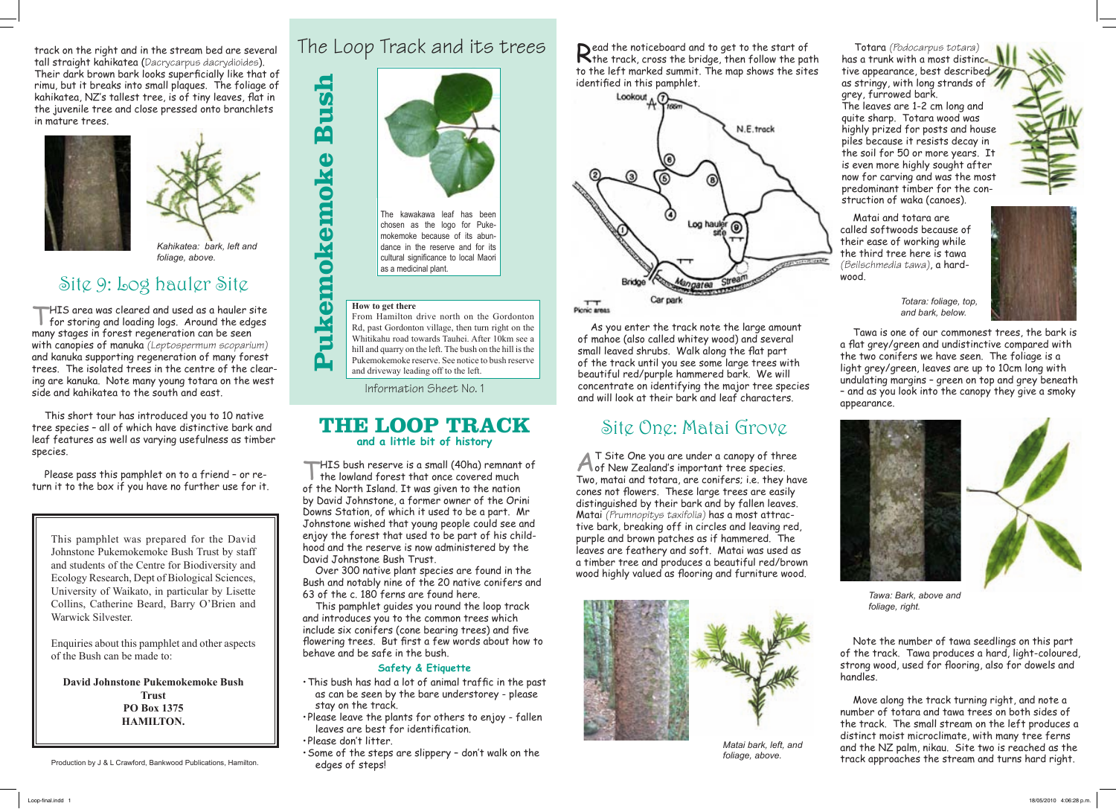**Pukemokemoke Bush**

Pukemokemoke

Bush

#### The Loop Track and its trees

Information Sheet No. 1

#### **THE LOOP TRACK and a little bit of history**

THIS bush reserve is a small (40ha) remnant of I the lowland forest that once covered much of the North Island. It was given to the nation by David Johnstone, a former owner of the Orini Downs Station, of which it used to be a part. Mr Johnstone wished that young people could see and enjoy the forest that used to be part of his childhood and the reserve is now administered by the David Johnstone Bush Trust.

Over 300 native plant species are found in the Bush and notably nine of the 20 native conifers and 63 of the c. 180 ferns are found here.

This pamphlet guides you round the loop track and introduces you to the common trees which include six conifers (cone bearing trees) and five flowering trees. But first a few words about how to behave and be safe in the bush.

#### **Safety & Etiquette**

- This bush has had a lot of animal traffic in the past as can be seen by the bare understorey - please stay on the track.
- Please leave the plants for others to enjoy fallen leaves are best for identification.
- Please don't litter.
- Some of the steps are slippery don't walk on the edges of steps!

track on the right and in the stream bed are several tall straight kahikatea (Dacrycarpus dacrydioides). Their dark brown bark looks superficially like that of rimu, but it breaks into small plaques. The foliage of kahikatea, NZ's tallest tree, is of tiny leaves, flat in the juvenile tree and close pressed onto branchlets in mature trees.



Read the noticeboard and to get to the start of<br>the track, cross the bridge, then follow the path to the left marked summit. The map shows the sites identified in this pamphlet.



THIS area was cleared and used as a hauler site for storing and loading logs. Around the edges many stages in forest regeneration can be seen with canopies of manuka *(Leptospermum scoparium)* and kanuka supporting regeneration of many forest trees. The isolated trees in the centre of the clearing are kanuka. Note many young totara on the west side and kahikatea to the south and east.

This short tour has introduced you to 10 native tree species – all of which have distinctive bark and leaf features as well as varying usefulness as timber species.

Please pass this pamphlet on to a friend – or return it to the box if you have no further use for it.

# Site 9: Log hauler Site

This pamphlet was prepared for the David Johnstone Pukemokemoke Bush Trust by staff and students of the Centre for Biodiversity and Ecology Research, Dept of Biological Sciences, University of Waikato, in particular by Lisette Collins, Catherine Beard, Barry O'Brien and Warwick Silvester.

Enquiries about this pamphlet and other aspects of the Bush can be made to:

**David Johnstone Pukemokemoke Bush Trust PO Box 1375 HAMILTON.**



*Kahikatea: bark, left and foliage, above.* 

Production by J & L Crawford, Bankwood Publications, Hamilton.

#### **How to get there**

From Hamilton drive north on the Gordonton Rd, past Gordonton village, then turn right on the Whitikahu road towards Tauhei. After 10km see a hill and quarry on the left. The bush on the hill is the Pukemokemoke reserve. See notice to bush reserve and driveway leading off to the left.

As you enter the track note the large amount of mahoe (also called whitey wood) and several small leaved shrubs. Walk along the flat part of the track until you see some large trees with beautiful red/purple hammered bark. We will concentrate on identifying the major tree species and will look at their bark and leaf characters.

#### Site One: Matai Grove

AT Site One you are under a canopy of three of New Zealand's important tree species. Two, matai and totara, are conifers; i.e. they have cones not flowers. These large trees are easily distinguished by their bark and by fallen leaves. Matai *(Prumnopitys taxifolia)* has a most attractive bark, breaking off in circles and leaving red, purple and brown patches as if hammered. The leaves are feathery and soft. Matai was used as a timber tree and produces a beautiful red/brown wood highly valued as flooring and furniture wood.

Totara *(Podocarpus totara)* has a trunk with a most distinctive appearance, best described as stringy, with long strands of grey, furrowed bark.



*foliage, above.*

The leaves are 1-2 cm long and quite sharp. Totara wood was highly prized for posts and house piles because it resists decay in the soil for 50 or more years. It is even more highly sought after now for carving and was the most predominant timber for the construction of waka (canoes).







Note the number of tawa seedlings on this part of the track. Tawa produces a hard, light-coloured, strong wood, used for flooring, also for dowels and handles.

Move along the track turning right, and note a number of totara and tawa trees on both sides of the track. The small stream on the left produces a distinct moist microclimate, with many tree ferns and the NZ palm, nikau. Site two is reached as the track approaches the stream and turns hard right.

Tawa is one of our commonest trees, the bark is a flat grey/green and undistinctive compared with the two conifers we have seen. The foliage is a light grey/green, leaves are up to 10cm long with undulating margins – green on top and grey beneath – and as you look into the canopy they give a smoky appearance.



*Totara: foliage, top, and bark, below.*







mokemoke because of its abundance in the reserve and for its cultural significance to local Maori as a medicinal plant.